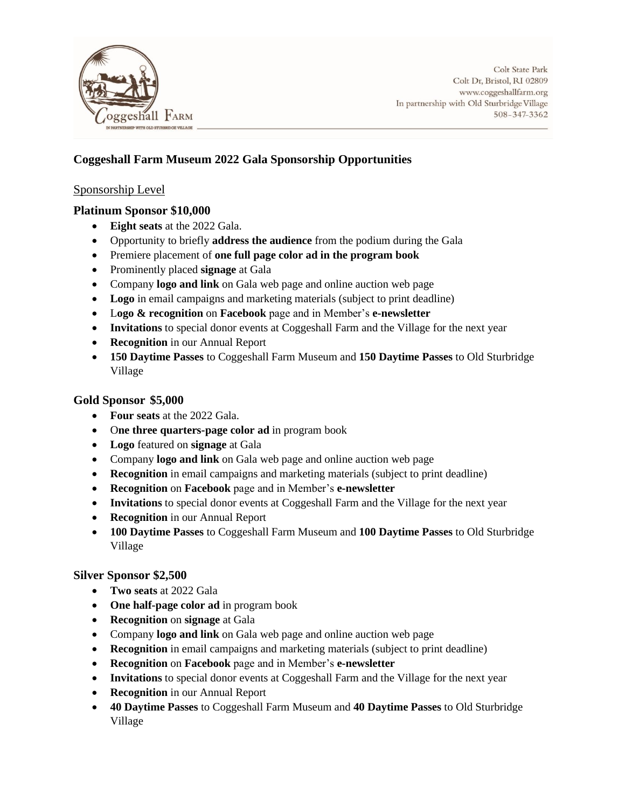

# **Coggeshall Farm Museum 2022 Gala Sponsorship Opportunities**

### Sponsorship Level

## **Platinum Sponsor \$10,000**

- **Eight seats** at the 2022 Gala.
- Opportunity to briefly **address the audience** from the podium during the Gala
- Premiere placement of **one full page color ad in the program book**
- Prominently placed **signage** at Gala
- Company **logo and link** on Gala web page and online auction web page
- **Logo** in email campaigns and marketing materials (subject to print deadline)
- L**ogo & recognition** on **Facebook** page and in Member's **e-newsletter**
- **Invitations** to special donor events at Coggeshall Farm and the Village for the next year
- **Recognition** in our Annual Report
- **150 Daytime Passes** to Coggeshall Farm Museum and **150 Daytime Passes** to Old Sturbridge Village

### **Gold Sponsor \$5,000**

- **Four seats** at the 2022 Gala.
- O**ne three quarters-page color ad** in program book
- **Logo** featured on **signage** at Gala
- Company **logo and link** on Gala web page and online auction web page
- **Recognition** in email campaigns and marketing materials (subject to print deadline)
- **Recognition** on **Facebook** page and in Member's **e-newsletter**
- **Invitations** to special donor events at Coggeshall Farm and the Village for the next year
- **Recognition** in our Annual Report
- **100 Daytime Passes** to Coggeshall Farm Museum and **100 Daytime Passes** to Old Sturbridge Village

#### **Silver Sponsor \$2,500**

- **Two seats** at 2022 Gala
- **One half-page color ad** in program book
- **Recognition** on **signage** at Gala
- Company **logo and link** on Gala web page and online auction web page
- **Recognition** in email campaigns and marketing materials (subject to print deadline)
- **Recognition** on **Facebook** page and in Member's **e-newsletter**
- **Invitations** to special donor events at Coggeshall Farm and the Village for the next year
- **Recognition** in our Annual Report
- **40 Daytime Passes** to Coggeshall Farm Museum and **40 Daytime Passes** to Old Sturbridge Village